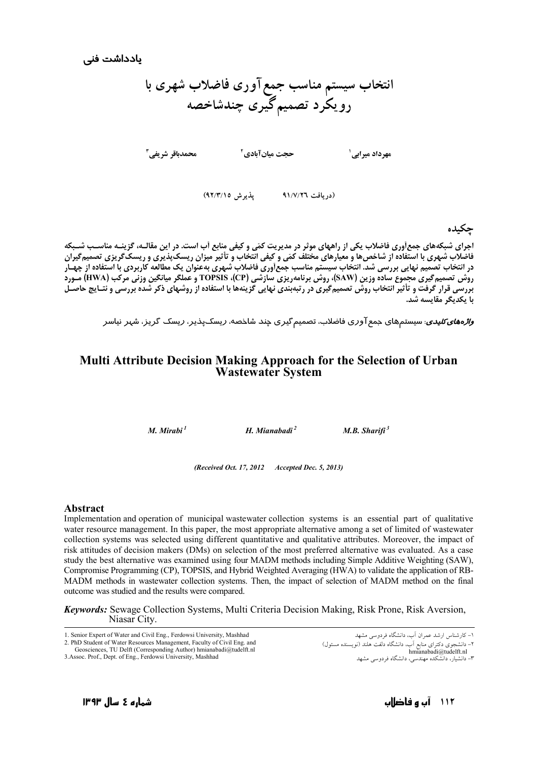

مهرداد میرابے '

محمدباقر شريفي آ

(دريافت ٩١/٧/٢٦ يذيرش ٩٢/٣/١٥)

حجت میانآبادی<sup>۲</sup>

جكىدە

اجرای شبکههای جمعآوری فاضلاب یکی از راههای موثر در مدیریت کمّی و کیفی منابع آب است. در این مقالـه، گزینـه مناسـب شـبکه فاضلاب شهری با استفاده از شاخصها و معیارهای مختلف کمّی و کیفی انتخاب و تأثیر میزان ریسکپذیری و ریسکگریزی تصمیمگیران **ت صدر به سهری به مستفاده را ساختری و سیار**مای ماحلت صلی و عیلی ماناخپ و با فیز میز*ان ر*یساناپندیزی و ریساناخریزی مسلیم غیران<br>در انتخاب تصمیم نهایی بررسی شد. انتخاب سیستم مناسب جمعآوری فاضلاب شهری بهعنوان یک مطالعه کاربر يا يكديگ مقايسه شد.

*واڈەھای کلیدی*: سیستمھای جمع آوری فاضلاب، تصمیم گیری چند شاخصه، *ر*یس*ک*یذیر، *ر*یسک گریز، شہر نیاسر

#### Multi Attribute Decision Making Approach for the Selection of Urban **Wastewater System**

 $M.$  Mirabi $<sup>1</sup>$ </sup>

H. Mianabadi $^2$ 

M.B. Sharifi $3$ 

(Received Oct. 17, 2012 Accepted Dec. 5, 2013)

#### **Abstract**

Implementation and operation of municipal wastewater collection systems is an essential part of qualitative water resource management. In this paper, the most appropriate alternative among a set of limited of wastewater collection systems was selected using different quantitative and qualitative attributes. Moreover, the impact of risk attitudes of decision makers (DMs) on selection of the most preferred alternative was evaluated. As a case study the best alternative was examined using four MADM methods including Simple Additive Weighting (SAW), Compromise Programming (CP), TOPSIS, and Hybrid Weighted Averaging (HWA) to validate the application of RB-MADM methods in wastewater collection systems. Then, the impact of selection of MADM method on the final outcome was studied and the results were compared.

**Keywords:** Sewage Collection Systems, Multi Criteria Decision Making, Risk Prone, Risk Aversion, Niasar City.

1. Senior Expert of Water and Civil Eng., Ferdowsi University, Mashhad

2. PhD Student of Water Resources Management, Faculty of Civil Eng. and Geosciences, TU Delft (Corresponding Author) hmianabadi@tudelft.nl

۱– کارشناس ارشد عمران آب، دانشگاه فردوسی مشهد 

<sup>3.</sup> Assoc. Prof., Dept. of Eng., Ferdowsi University, Mashhad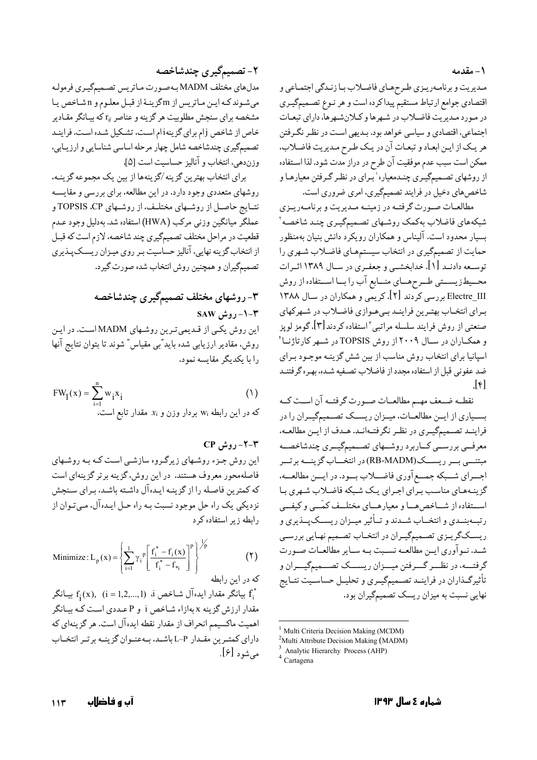۱ – مقدمه

مدیریت و برنامه ریـزی طـرحهـای فاضـلاب بـا زنـدگی اجتمـاعی و اقتصادي جوامع ارتباط مستقيم پيداكرده است و هر نـوع تصـميمگيـري در مـورد مـديريت فاضـلاب در شـهرها و كـلانشـهرهاّ، داراي تبعـات اجتماعی، اقتصادی و سیاسی خواهد بود. بـدیهی اسـت در نظـر نگـرفتن هر يك از اين ابعـاد و تبعـات آن در يـك طـرح مـديريت فاضـلاب، ممكن است سبب عدم موفقيت آن طرح در دراز مدت شود. لذا اسـتفاده از روشهای تصـمیمگیـری چنـدمعیاره' بـرای در نظـر گـرفتن معیارهـا و شاخصهای دخیل در فرایند تصمیمگیری، امری ضروری است.

مطالعـات صـورت گرفتـه در زمينـه مـديريت و برنامـهريـزي شبکههای فاضلاب بهکمک روشهای تصمیمگیری چند شاخصه ۲ بسیار محدود است. آلیناس و همکاران رویکرد دانش بنیان بهمنظور حمایت از تصمیمگیری در انتخاب سیستمهای فاضلاب شهری را توسـعه دادنـد [۱]. خدابخشــي و جعفـري در سـال ۱۳۸۹ اثـرات محسیط زیستبی طـرحهـای منـابع آب را بــا اســتفاده از روش Electre\_III بررسی کردند [۲]. کریمی و همکاران در سال ۱۳۸۸ بـراي انتخـاب بهتـرين فراينـد بـيهـوازي فاضـلاب در شـهركهاي صنعتی از روش فرایند سلسله مراتبی ّ استفاده کردند[۳]. گومز لوپز و همکـاران در سـال ۲۰۰۹ از روش TOPSIS در شـهر کارتاژنــا ٔ اسپانیا برای انتخاب روش مناسب از بین شش گزینـه موجـود بـرای ضد عفونی قبل از استفاده مجدد از فاضلاب تصـفیه شـده، بهـره گرفتنـد  $\lceil \mathfrak{f} \rceil$ 

نقطـه ضـعف مهـم مطالعـات صـورت گرفتـه آن اسـت كـه بسـیاری از ایـن مطالعـات، میـزان ریسـک تصـمیمگیـران را در فراینـد تصـمیمگیـري در نظـر نگرفتـهانـد. هـدف از ايـن مطالعـه، معرفــی بررســی کــاربرد روشــهای تصــمیمگیــری چندشاخصــه مبتنسی بسر ریسسک(RB-MADM) در انتخـاب گزینسه برتسر اجسراي شــبكه جمــع آوري فاضـــلاب بــود. در ايـــن مطالعـــه، گزینـههـای مناسـب بـرای اجـرای یـک شـبکه فاضـلاب شـهری بـا استفاده از شـاخص هـا و معیارهــای مختلــف کمّــی و کیفــی رتبــهبنــدي و انتخــاب شــدند و تــأثير ميــزان ريســكپــذيري و ریســکگریـزی تصـمیمگیـران در انتخـاب تصـمیم نهـایی بررسـی شید. نیو آوری ایین مطالعیه نسبت بیه سیایر مطالعیات صیورت گرفتـــه، در نظـــر گـــرفتن ميـــزان ريســـک تصـــميمگيـــران و تأثیرگـذاران در فراینـد تصـمیمگیـري و تحلیـل حساسـیت نتـایج نهایی نسبت به میزان ریسک تصمیمگیران بود.

<sup>1</sup> Multi Criteria Decision Making (MCDM)

۲- تصمیمگیری چندشاخصه

مدلهای مختلف MADM بهصورت ماتریس تصمیمگیری فرموله می شوند که این ماتریس از m گزینهٔ از قبل معلوم و n شاخص یا مشخصه برای سنجش مطلوبیت هر گزینه و عناصر ry که بیـانگر مقـادیر خاص از شاخص jام براي گزينهiام است، تشكيل شـده است. فراينـد .<br>تصمیمگیری چندشاخصه شامل چهار مرحله اساسی شناسایی و ارزیـابی. وزندهي، انتخاب و آناليز حساسيت است [۵].

براي انتخاب بهترين گزينه /گزينهها از بين يک مجموعه گزينـه، روشهای متعددی وجود دارد. در این مطالعه، برای بررسی و مقایسـه نتـايج حاصـل از روشـهاي مختلـف، از روشـهاي TOPSIS .CP و عملگر میانگین وزنی مرکب (HWA) استفاده شد. بهدلیل وجود عـدم قطعیت در مراحل مختلف تصمیمگیری چند شاخصه، لازم است که قبـل از انتخاب گزینه نهایی، آنالیز حساسیت بـر روی میـزان ریسـک پــذیری تصمیمگیران و همچنین روش انتخاب شده صورت گیرد.

# ۳- روشهای مختلف تصمیمگیری چندشاخصه  $SAW$  - روش

این روش یکی از قدیمیترین روشهای MADM است. در این روش، مقادیر ارزیابی شده باید"بی مقیاس" شوند تا بتوان نتایج آنها را با یکدیگر مقایسه نمود.

$$
FW_{1}(x) = \sum_{i=1}^{n} w_{i} x_{i}
$$
\n
$$
x_{i} \quad x_{j} \quad \text{and} \quad w_{i} \quad w_{j}
$$
\n
$$
x_{i} \quad y_{j} \quad w_{i} \quad w_{j}
$$

 $CP$ روش CP این روش جـزء روشـهای زیرگـروه سازشـی اسـت کـه بـه روشـهای فاصلهمحور معروف هستند. در این روش، گزینه برتر گزینهای است كه كمترين فاصـله را از گزينـه ايـدهآل داشـته باشـد، بـراي سـنجش نزديكي يک راه حل موجود نسبت بـه راه حـل ايـدهآل، مـيتـوان از

رابطه زیر استفاده کرد

Minimize: 
$$
L_p(x) = \left\{ \sum_{i=1}^{1} \gamma_i^p \left[ \frac{f_i^* - f_i(x)}{f_i^* - f_{*i}} \right]^p \right\}^{\frac{1}{p}}
$$
 (7)

يبانگر مقدار ايدهآل شـاخص i، (i = 1,2,..., l) بيانگر K: (i = 1,2,..., l) مقدار ارزش گزینه x بهازاء شـاخص i و P عـددي اسـت كـه بيـانگر اهمیت ماکسیمم انحراف از مقدار نقطه ایده آل است. هر گزینهای که دارای کمتـرین مقـدار P-L باشـد. بـهعنـوان گزینـه برتـر انتخـاب می شود [۶].

<sup>&</sup>lt;sup>2</sup>Multi Attribute Decision Making (MADM)

<sup>&</sup>lt;sup>3</sup> Analytic Hierarchy Process (AHP)

 $4$  Cartagena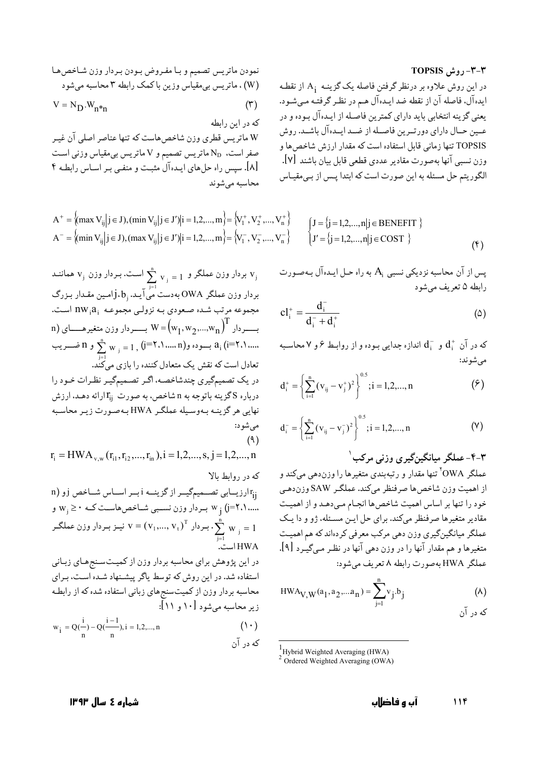۳-۳-روش TOPSIS در این روش علاوه بر درنظر گرفتن فاصله یک گزینـه A<sub>i</sub> از نقطـه ايده آل، فاصله آن از نقطه ضد ايـده آل هـم در نظـر گرفتـه مـىشـود. يعني گزينه انتخابي بايد داراي كمترين فاصله از ايـدهآل بـوده و در عـین حـال دارای دورتـرین فاصـله از ضـد ایـدهآل باشـد. روش TOPSIS تنها زماني قابل استفاده است كه مقدار ارزش شاخصها و وزن نسبي آنها بهصورت مقادير عددي قطعي قابل بيان باشند [٧]. الگوریتم حل مسئله به این صورت است که ابتدا پـس از بـیمقیـاس

$$
A^{+} = \{(max V_{ij} | j \in J), (min V_{ij} | j \in J') | i = 1, 2, ..., m\} = \{V_{1}^{+}, V_{2}^{+}, ..., V_{n}^{+}\} \qquad \begin{cases} J = \{j = 1, 2, ..., n | j \in BENEFIT \} \\ J' = \{j = 1, 2, ..., n | j \in BENEFIT \} \end{cases}
$$
  

$$
A^{-} = \{(min V_{ij} | j \in J), (max V_{ij} | j \in J') | i = 1, 2, ..., m\} = \{V_{1}^{-}, V_{2}^{-}, ..., V_{n}^{-}\} \qquad \begin{cases} J = \{j = 1, 2, ..., n | j \in BENEFIT \} \\ J' = \{j = 1, 2, ..., n | j \in COST \} \end{cases}
$$
 (5)

یس از آن محاسبه نزدیکی نسببی  $\rm A_i$  به راه حـل ایـدهآل بـهصـورت رابطه ۵ تعریف می شود

$$
c1_{i}^{+} = \frac{d_{i}^{-}}{d_{i}^{-} + d_{i}^{+}}
$$
 (2)

که در آن  $\mathrm{d^+_i}$  و  $\mathrm{d^-_i}$  اندازه جدایی بوده و از روابط ۶ و ۷ محاسبه مي شوند:

$$
\mathbf{d}_{i}^{+} = \left\{ \sum_{i=1}^{n} (\mathbf{v}_{ij} - \mathbf{v}_{j}^{+})^{2} \right\}^{0.5}; i = 1, 2, ..., n \tag{\mathcal{F}}
$$

$$
d_i^- = \left\{ \sum_{i=1}^n (v_{ij} - v_j^-)^2 \right\}^{0.5}; i = 1, 2, ..., n
$$
 (Y)

۴-۳- عملگر میانگینگیری وزنی مرکب ٰ

عملگر OWA<sup>۲</sup> تنها مقدار و رتبهبندي متغيرها را وزندهي ميكند و از اهميت وزن شاخص ها صرفنظر مي كند. عملگـر SAW وزندهـي خود را تنها بر اساس اهمیت شاخصها انجام مهیدهد و از اهمیت مقادیر متغیرها صرفنظر میکند. برای حل ایــن مسـئله، ژو و دا یـک عملگر میانگینگیری وزن دهی مرکب معرفی کردهاند که هم اهمیت متغیرها و هم مقدار آنها را در وزن دهی آنها در نظـر مـی٤گـِـرد [۹]. عملگر HWA بهصورت رابطه ۸ تعریف می شود:

$$
HWA_{V,W}(a_1, a_2, \dots a_n) = \sum_{j=1}^n v_j.b_j
$$
 (A)  
 
$$
\omega
$$

$$
^{1}_{2}
$$
 Hybrid Weighted Average (HWA)

صفر است،  $N_D$  ماتریس تصمیم و V ماتریس بی مقیاس وزنی است [۸]. سپس راه حلهای ایـدهآل مثبـت و منفـی بـر اسـاس رابطـه ۴ محاسبه مي شوند

$$
A^{+} = \{ (\max V_{ij} | j \in J), (\min V_{ij} | j \in J') | i = 1, 2, ..., m \} = \{ V_{1}^{+}, V_{2}^{+}, ..., V_{n}^{+} \}
$$
  

$$
A^{-} = \{ (\min V_{ij} | j \in J), (\max V_{ij} | j \in J') | i = 1, 2, ..., m \} = \{ V_{1}^{-}, V_{2}^{-}, ..., V_{n}^{-} \}
$$

بردار وزن عملگر و  $_{\rm I}$   $_{\rm v}$  است. بـردار وزن  $_{\rm V}$  هماننـد  $_{\rm V}$ بردار وزن عملگر OWA بهدست میآیـد. .j.b امـین مقـدار بـزرگ مجموعه مرتب شـده صـعودي بـه نزولـي مجموعـه  $a_{\rm i}$  ا ${\rm nw}_{\rm i}$  اسـت. بسد ۱، ۲۰ بسوده و(۱، ۱۰۰۰، ۱۰ ۲) , <sub>w i</sub> = 1 , (i=۲۰۱ بسوده و(۱۰۰۰، ۱۰۰۰ ب تعادل است که نقش یک متعادل کننده را بازی مےکند. در یک تصمیمگیری چندشاخصه، اگـر تصـمیمگیـر نظـرات خـود را درباره S گزینه باتوجه به n شاخص، به صورت  $\rm r_{ij}$ ارائه دهـد، ارزش نهایی هر گزینـه بـهوسـیله عملگـر HWA بـهصـورت زیـر محاسـبه مے شو د:  $(9)$  $r_i$  = HWA<sub>y w</sub>  $(r_{i1}, r_{i2},..., r_{in})$ , i = 1,2,..., s, j = 1,2,..., n

که در روابط بالا  
\n
$$
\mathbf{u}_{j} = \begin{cases}\n\mathbf{u}_{j} = \begin{cases}\n\mathbf{u}_{j} = \mathbf{u}_{j} \\
\mathbf{v}_{j} = \mathbf{u}_{j} \\
\mathbf{v}_{j} = \mathbf{v}_{j} \\
\mathbf{v}_{j} = \mathbf{v}_{j} \\
\mathbf{v}_{j} = \mathbf{v}_{j} \\
\mathbf{v}_{j} = \mathbf{v}_{j} \\
\mathbf{v}_{j} = \mathbf{v}_{j} \\
\mathbf{v}_{j} = \mathbf{v}_{j} \\
\mathbf{v}_{j} = \mathbf{v}_{j} \\
\mathbf{v}_{j} = \mathbf{v}_{j} \\
\mathbf{v}_{j} = \mathbf{v}_{j} \\
\mathbf{v}_{j} = \mathbf{v}_{j} \\
\mathbf{v}_{j} = \mathbf{v}_{j} \\
\mathbf{v}_{j} = \mathbf{v}_{j} \\
\mathbf{v}_{j} = \mathbf{v}_{j} \\
\mathbf{v}_{j} = \mathbf{v}_{j} \\
\mathbf{v}_{j} = \mathbf{v}_{j} \\
\mathbf{v}_{j} = \mathbf{v}_{j} \\
\mathbf{v}_{j} = \mathbf{v}_{j} \\
\mathbf{v}_{j} = \mathbf{v}_{j} \\
\mathbf{v}_{j} = \mathbf{v}_{j} \\
\mathbf{v}_{j} = \mathbf{v}_{j} \\
\mathbf{v}_{j} = \mathbf{v}_{j} \\
\mathbf{v}_{j} = \mathbf{v}_{j} \\
\mathbf{v}_{j} = \mathbf{v}_{j} \\
\mathbf{v}_{j} = \mathbf{v}_{j} \\
\mathbf{v}_{j} = \mathbf{v}_{j} \\
\mathbf{v}_{j} = \mathbf{v}_{j} \\
\mathbf{v}_{j} = \mathbf{v}_{j} \\
\mathbf{v}_{j} = \mathbf{v}_{j} \\
\mathbf{v}_{j} = \mathbf{v}_{j} \\
\mathbf{v}_{j} = \mathbf{v}_{j} \\
\mathbf{v}_{j} = \mathbf{v}_{j} \\
\mathbf{v}_{j} = \mathbf{v}_{j} \\
\mathbf{v}_{j} = \mathbf{v}_{j} \\
\mathbf{v}_{j} = \mathbf{v}_{j} \\
\mathbf{v}_{j} = \mathbf{v}_{j} \\
\mathbf{v}_{j} = \mathbf{v}_{j} \\
\mathbf{v}_{j} = \mathbf{v}_{j} \\
\mathbf{v}_{j} = \mathbf{v}_{j
$$

استفاده شد. در این روش که توسط یاگر پیشـنهاد شـده اسـت، بـرای محاسبه بردار وزن از کمیتسنجهای زبانی استفاده شده که از رابطه زیر محاسبه می شود [۱۰ و ۱۱]:

$$
w_{i} = Q(\frac{i}{n}) - Q(\frac{i-1}{n}), i = 1, 2, ..., n
$$
\n(1 · )

شمارہ 2 سال ۱۳۹۳

 $2$  Ordered Weighted Averaging (OWA)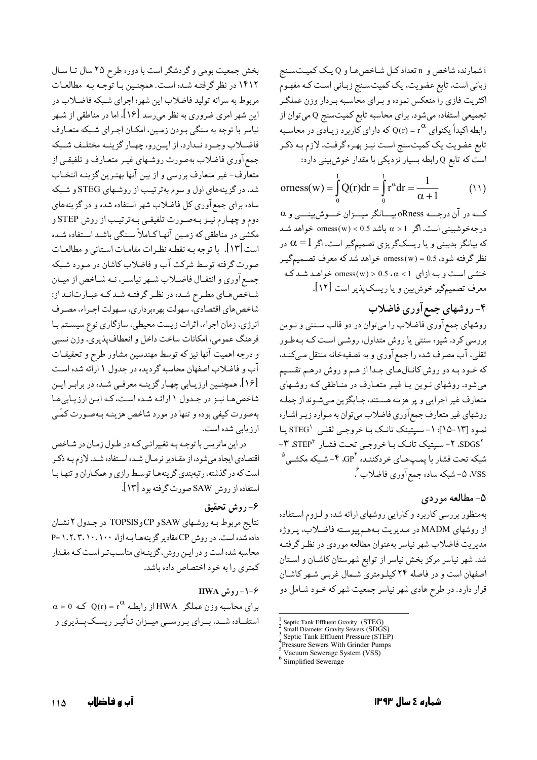i شمارنده شاخص و n تعداد کـل شـاخصهـا و Q يـک کميـتسـنج زبانی است. تابع عضویت، یک کمیتسنج زبـانی اسـت کـه مفهـوم اکثریت فازی را منعکس نموده و بـرای محاسـبه بـردار وزن عملگـر تجمیعی استفاده میشود. برای محاسبه تابع کمیتسنج Q میتوان از رابطه اکیداً یکنوای  $\alpha$  (r) = r (۲) که دارای کاربرد زیـادی در محاسـبه تابع عضویت یک کمیتسنج است نیـز بهـره گرفـت. لازم بـه ذکـر است که تابع Q رابطه بسیار نزدیکی با مقدار خوشبینی دارد:

orness(w) = 
$$
\int_{0}^{1} Q(r) dr = \int_{0}^{1} r^{\alpha} dr = \frac{1}{\alpha + 1}
$$
 (11)

 $\alpha$  کــه در آن درجــه oRness بيــانگر ميــزان خــوش بينـــي و درجهخوشبینی است. اگر 1 $\alpha>1$  باشد 0.5 × orness(w) خواهد شـد که بیانگر بدبینی و یا ریسکگریزی تصمیمگیر است. اگر  $\alpha$  = 1 در نظر گرفته شود، orness(w) = 0.5 خواهد شد که معرف تصـمیمگیـر خنثـي اسـت و بـه ازاي orness(w) > 0.5 . a < 1 خنثـي اسـت و بـه ازاي 0.5 . a < معرف تصمیمگیر خوش بین و یا ریسکپذیر است [۱۲].

۴- روشهای جمع آوری فاضلاب

روشهای جمع آوری فاضلاب را میتوان در دو قالب سنتی و نـوین بررسی کرد. شیوه سنتی یا روش متداول، روشـی اسـت کـه بـهطـور ثقلبي، آب مصرف شده را جمع آوري و به تصفيهخانه منتقل مـيكنـد. که خـود بـه دو روش کانـالهـاي جـدا از هـم و روش درهـم تقسـيم میشود. روشهای نـوین یـا غیـر متعـارف در منـاطقی کـه روشـهای متعارف غير اجرايي و پر هزينه هستند، جـايگزين مـيشـونداز جملـه روشهای غیر متعارف جمع آوری فاضلاب میتوان به مـوارد زیـر اشـاره نمود [١٣-١٥]: ١- سيتينك تانك با خروجي ثقلبي STEG يا 'SDGS، ۲- سپتیک تانک بـا خروجـي تحـت فشـار "STEP، ۳-شبکه تحت فشار با پمـپهـاي خردکننـده GP ْ A-شـبکه مکشـي <sup>۵</sup> VSS. ۵- شبکه ساده جمع آوري فاضلاب ً.

### ۵- مطالعه موردی

بهمنظور بررسي كاربرد وكارايي روشهاى ارائه شده و لـزوم اسـتفاده از روشهاي MADM در مديريت بههم پيوسته فاضلاب، پروژه مديريت فاضلاب شهر نياسر بهعنوان مطالعه موردي در نظر گرفتـه شد. شهر نیاسر مرکز بخش نیاسر از توابع شهرستان کاشـان و اسـتان اصفهان است و در فاصله ٢۴ كيلـومتري شـمال غربـي شـهر كاشـان قرار دارد. در طرح هادي شهر نياسر جمعيت شهر كه خـود شـامل دو

بخش جمعیت بومی و گردشگر است با دوره طرح ۲۵ سال تـا سـال ۱۴۱۲ در نظر گرفتـه شـده اسـت. همچنـین بـا توجـه بـه مطالعـات مربوط به سرانه تولید فاضلاب این شهر؛ اجرای شبکه فاضلاب در این شهر امری ضروری به نظر میرسد [۱۶]. اما در مناطقی از شـهر نیاسر با توجه به سنگی بـودن زمـین، امکـان اجـراي شـبکه متعـارف فاضلاب وجمود نمدارد. از ايمن رو، چهمار گزينمه مختلمف شبكه جمع آوري فاضلاب بهصورت روشـهاي غيـر متعـارف و تلفيقـي از متعاَّرف-غير متعارف بررسي و از بين آنها بهتـرين گزينـه انتخـاب شد. در گزینههای اول و سوم بهترتیب از روشـهای STEG و شـبکه ساده برای جمع آوری کل فاضلاب شهر استفاده شده و در گزینههای دوم و چهـارم نيـز بـهصـورت تلفيقـي بـهترتيـب از روش STEP و مکشی در مناطقی که زمین آنها کـاملاً سـنگی باشـد اسـتفاده شـده است [۱۳]. با توجه بـه نقطـه نظـرات مقامـات اسـتاني و مطالعـات صورت گرفته توسط شرکت آب و فاضلاب کاشان در مـورد شـبکه جمع آوري و انتقـال فاضـلاب شـهر نياسـر، نـه شـاخص از ميـان شـاخصهـاي مطـرح شـده در نظـر گرفتـه شـدكـه عبـارت|نـد از: شاخص های اقتصادی، سهولت بهرهبرداری، سهولت اجـراء، مصـرف انرژی، زمان اجراء، اثرات زیست محیطی، سازگاری نوع سیستم با فرهنگ عمومي، امكانات ساخت داخل و انعطاف پذيري. وزن نسبي و درجه اهمیت آنها نیز که توسط مهندسین مشاور طرح و تحقیقـات آب و فاضلاب اصفهان محاسبه گردیده در جدول ۱ ارائه شده است [۱۶]. همچنـین ارزیـابی چهـار گزینـه معرفـی شـده در برابـر ایـن شاخص ها نیز در جدول ١ ارائه شده است، كه اين ارزيابي ها بهصورت کیفی بوده و تنها در مورد شاخص هزینـه بـهصـورت کمّـی ارزيابي شده است.

در این ماتریس با توجـه بـه تغییراتـی کـه در طـول زمـان در شـاخص اقتصادی ایجاد میشود، از مقادیر نرمال شـده اسـتفاده شـد. لازم بـه ذكـر است که در گذشته، رتبهبندي گزينههـا توسـط رازي و همکـاران و تنهـا بـا استفاده از روش SAW صورت گرفته بود [۱۳].

### ۶- روش تحقیق

نتايج مربوط بـه روشـهاي SAWو CPوTOPSIS در جـدول ٢ نشـان داده شده است. در روش CP مقادیر گزینهها به ازاء ۱٬۲٬۳٬۱۰٬۱۰۰ محاسبه شده است و در ایـن روش، گزینـهای مناسـبتر اسـت کـه مقـدار كمترى را به خود اختصاص داده باشد.

## ۰-۶-روش HWA

 $\alpha \succ 0$  برای محاسبه وزن عملگر  $HWA$ از رابطـه  $Q(r) = r^{\alpha}$  کـه استفــاده شــد. بــراي بـررســي ميــزان تـأثيـر ريسـكپـــذيري و

Septic Tank Effluent Gravity (STEG)<br>Small Diameter Gravity Sewers (SDGS)<br>Septic Tank Effluent Pressure (STEP)

Pressure Sewers With Grinder Pumps

Vacuum Sewerage System (VSS)

<sup>&</sup>lt;sup>6</sup> Simplified Sewerage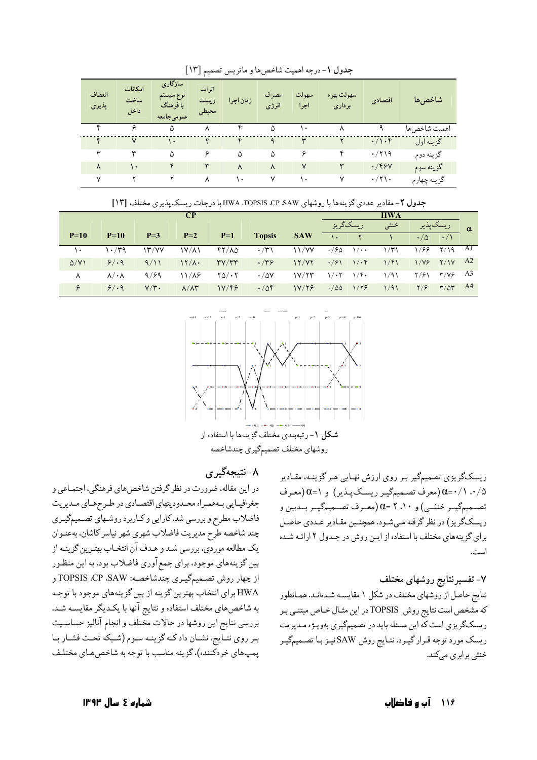| انعطاف<br>پذیری | امكانات<br>ساخت<br>داخل | سازگاری<br>نوع سيستم<br>با فرهنگ<br>عمومىجامعه | اثر ات<br>زيست<br>محيطى | زمان اجرا | مصر ف<br>انرژی | سهولت<br>اجرا | سهولت بهره<br>بر داری | اقتصادي         | شاخصها       |
|-----------------|-------------------------|------------------------------------------------|-------------------------|-----------|----------------|---------------|-----------------------|-----------------|--------------|
| ۴               | ç                       | ۵                                              |                         | ۴         | ۵              | ١.            |                       |                 | اهميت شاخصها |
|                 | $\vee$                  | $\ddot{\phantom{1}}$                           | ۴                       | ۴         |                | ٣             |                       | $\cdot/\cdot$ ۴ | گزينه اول    |
| ₩               | ۳                       | ۵                                              | ۶                       | ۵         | ۵              | ۶             | ۴                     | $\cdot$ /۲۱۹    | گزينه دوم    |
| ٨               | ۱۰                      | ۴                                              | ٣                       | $\lambda$ | ٨              | ٧             | ٣                     | $\cdot$ /۴۶۷    | گزينه سوم    |
| v               |                         | ۲                                              | ٨                       | ١٠        | ٧              | ۱۰            | v                     | $\cdot$ /۲۱۰    | گزينه چهارم  |

جدول ١- درجه اهميت شاخص ها و ماتريس تصميم [١٣]

|  |  |  |  |  |  |  | جدول ۲- مقادیر عددی گزینهها با روشهای HWA .TOPSIS .CP .SAW با درجات ریسکپذیری مختلف [۱۳] |
|--|--|--|--|--|--|--|------------------------------------------------------------------------------------------|
|--|--|--|--|--|--|--|------------------------------------------------------------------------------------------|

|                     |                         |                 |                      |                                                 |               |                                 | <b>HWA</b>                                                                    |                                |                  |               |                                                                        |          |
|---------------------|-------------------------|-----------------|----------------------|-------------------------------------------------|---------------|---------------------------------|-------------------------------------------------------------------------------|--------------------------------|------------------|---------------|------------------------------------------------------------------------|----------|
|                     |                         |                 |                      |                                                 |               |                                 | ريسكگريز                                                                      |                                | ريسکپذير<br>خنثى |               |                                                                        | $\alpha$ |
| $P=10$              | $P=10$                  | $P=3$           | $P=2$                | $P=1$                                           | <b>Topsis</b> | <b>SAW</b>                      | $\mathbf{1}$ $\mathbf{1}$ $\mathbf{1}$ $\mathbf{1}$ $\mathbf{1}$ $\mathbf{1}$ |                                |                  |               | $\cdot/\Delta$ $\cdot/\Delta$                                          |          |
|                     | $\cdot$ /۳۹             | Y'YY            | $\frac{1}{\sqrt{2}}$ | ۲۲/۸۵                                           | $\cdot$ /۳۱   | 11/YY                           |                                                                               | $\cdot$ / $\cdot$ 0 \/ $\cdot$ | 1/T1             |               | $\frac{1}{9}$ $\frac{1}{9}$ $\frac{1}{9}$ $\frac{1}{9}$ $\frac{1}{19}$ |          |
| $\Delta$ / $\gamma$ | 9/19                    | 9/11            | $17/\lambda$         | $\mathsf{r} \mathsf{v} / \mathsf{r} \mathsf{r}$ | $\cdot$ /۳۶   | $17/47$ $\cdot$ /91 $1/\cdot$ 6 |                                                                               |                                | 1/f1             | 1/Y           | $Y/1V$ A2                                                              |          |
| ٨                   | $\lambda/\cdot \lambda$ | 9/99            | $11/\lambda$ ۶       | $Y\Delta/\cdot Y$                               | $\cdot$ / ۵۷  | 1V/7T                           | $1/\cdot 7$ $1/F$ .                                                           |                                | 1/91             | ۲/۶۱          | $\frac{1}{2} \sqrt{9}$ A3                                              |          |
|                     | 9/19                    | $V/\tilde{r}$ . | $\lambda/\lambda$ ۳  | 1Y/F9                                           | .708          | 1V/Y                            | $\cdot$ / $\circ$ $\circ$                                                     | 1/79                           | 1/91             | $\frac{1}{2}$ | $\mathbf{r}/\Delta\mathbf{r}$                                          | - A4     |



شكل ١- رتبهبندي مختلف گزينهها با استفاده از روشهاى مختلف تصميمگيري چندشاخصه

۸- نتيجهگير ي

در این مقاله، ضرورت در نظر گرفتن شاخصهای فرهنگی، اجتمـاعی و جغرافیـایی بـههمـراه محـدودیتهای اقتصـادی در طـرحهـای مـدیریت فاضلاب مطرح و بررسی شد. کارایی و کاربرد روشهای تصمیمگیری چند شاخصه طرح مدیریت فاضلاب شهری شهر نیاسر کاشان، بهعنـوان یک مطالعه موردی، بررسی شـد و هـدف آن انتخـاب بهتـرین گزینـه از بین گزینههای موجود، برای جمع آوری فاضلاب بود. به این منظور از چهار روش تصمیمگیری چندشاخصه: TOPSIS ،CP ،SAW و HWA برای انتخاب بهترین گزینه از بین گزینههای موجود با توجـه به شاخصهای مختلف استفاده و نتایج آنها با یکدیگر مقایسـه شـد. بررسي نتايج اين روشها در حالات مختلف و انجام آناليز حساسـيت بـر روى نتـاّيج، نشـان دادكـه گزينـه سـوم (شـبكه تحـت فشـار بـا پمپهاي خردكننده)، گزينه مناسب با توجه به شاخصهاي مختلف

ریسکگریزی تصمیمگیر بـر روی ارزش نهـایی هـر گزینـه، مقـادیر

۰/۵ : ۰/۱ (معرف تصمیمگیـر ریسـکپـذیر) و ۱=0 (معـرف)

تصـمیمگیـر خنثـی) و ۲،۱۰ =0 (معـرف تصـمیمگیـر بـدبین و

ريسكگريز) در نظر گرفته مـي شـود. همچنـين مقـادير عـددي حاصـل

برای گزینههای مختلف با استفاده از ایـن روش در جـدول ٢ ارائـه شـده

نتایج حاصل از روشهای مختلف در شکل ۱ مقایسـه شـدهانـد. همـانطور

که مشخص است نتایج روش TOPSISدر این مثـال خـاص مبتنـی بـر

۷- تفسیرنتایج روشهای مختلف

است.